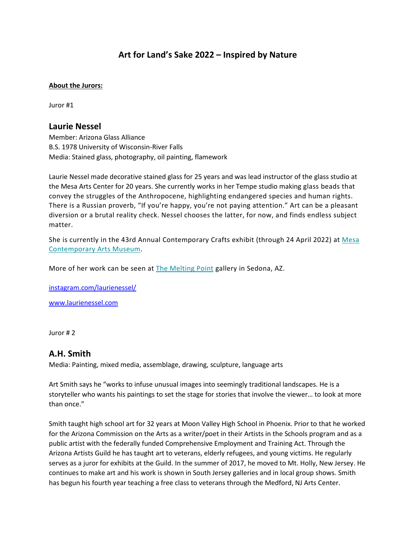## **Art for Land's Sake 2022 – Inspired by Nature**

## **About the Jurors:**

Juror #1

## **Laurie Nessel**

Member: Arizona Glass Alliance B.S. 1978 University of Wisconsin-River Falls Media: Stained glass, photography, oil painting, flamework

Laurie Nessel made decorative stained glass for 25 years and was lead instructor of the glass studio at the Mesa Arts Center for 20 years. She currently works in her Tempe studio making glass beads that convey the struggles of the Anthropocene, highlighting endangered species and human rights. There is a Russian proverb, "If you're happy, you're not paying attention." Art can be a pleasant diversion or a brutal reality check. Nessel chooses the latter, for now, and finds endless subject matter.

She is currently in the 43rd Annual Contemporary Crafts exhibit (through 24 April 2022) at [Mesa](https://www.mesaartscenter.com/index.php/museum/art/exhibits/42nd-crafts)  [Contemporary Arts Museum.](https://www.mesaartscenter.com/index.php/museum/art/exhibits/42nd-crafts)

More of her work can be seen at [The Melting Point](https://sedonaglassblowing.com/) gallery in Sedona, AZ.

[instagram.com/laurienessel/](https://www.instagram.com/laurienessel/)

[www.laurienessel.com](http://www.laurienessel.com/)

Juror # 2

## **A.H. Smith**

Media: Painting, mixed media, assemblage, drawing, sculpture, language arts

Art Smith says he "works to infuse unusual images into seemingly traditional landscapes. He is a storyteller who wants his paintings to set the stage for stories that involve the viewer… to look at more than once."

Smith taught high school art for 32 years at Moon Valley High School in Phoenix. Prior to that he worked for the Arizona Commission on the Arts as a writer/poet in their Artists in the Schools program and as a public artist with the federally funded Comprehensive Employment and Training Act. Through the Arizona Artists Guild he has taught art to veterans, elderly refugees, and young victims. He regularly serves as a juror for exhibits at the Guild. In the summer of 2017, he moved to Mt. Holly, New Jersey. He continues to make art and his work is shown in South Jersey galleries and in local group shows. Smith has begun his fourth year teaching a free class to veterans through the Medford, NJ Arts Center.